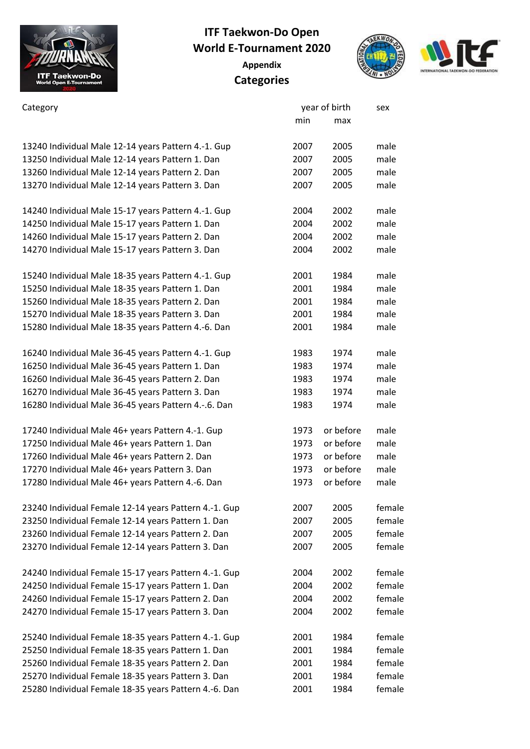

## **ITF Taekwon-Do Open World E-Tournament 2020 Appendix Categories**



| TERNATIONAL TAEKWON-DO FEDERATION |
|-----------------------------------|

| Category                                              | year of birth | sex       |        |
|-------------------------------------------------------|---------------|-----------|--------|
|                                                       | min           | max       |        |
| 13240 Individual Male 12-14 years Pattern 4.-1. Gup   | 2007          | 2005      | male   |
| 13250 Individual Male 12-14 years Pattern 1. Dan      | 2007          | 2005      | male   |
| 13260 Individual Male 12-14 years Pattern 2. Dan      | 2007          | 2005      | male   |
| 13270 Individual Male 12-14 years Pattern 3. Dan      | 2007          | 2005      | male   |
| 14240 Individual Male 15-17 years Pattern 4.-1. Gup   | 2004          | 2002      | male   |
| 14250 Individual Male 15-17 years Pattern 1. Dan      | 2004          | 2002      | male   |
| 14260 Individual Male 15-17 years Pattern 2. Dan      | 2004          | 2002      | male   |
| 14270 Individual Male 15-17 years Pattern 3. Dan      | 2004          | 2002      | male   |
| 15240 Individual Male 18-35 years Pattern 4.-1. Gup   | 2001          | 1984      | male   |
| 15250 Individual Male 18-35 years Pattern 1. Dan      | 2001          | 1984      | male   |
| 15260 Individual Male 18-35 years Pattern 2. Dan      | 2001          | 1984      | male   |
| 15270 Individual Male 18-35 years Pattern 3. Dan      | 2001          | 1984      | male   |
| 15280 Individual Male 18-35 years Pattern 4.-6. Dan   | 2001          | 1984      | male   |
| 16240 Individual Male 36-45 years Pattern 4.-1. Gup   | 1983          | 1974      | male   |
| 16250 Individual Male 36-45 years Pattern 1. Dan      | 1983          | 1974      | male   |
| 16260 Individual Male 36-45 years Pattern 2. Dan      | 1983          | 1974      | male   |
| 16270 Individual Male 36-45 years Pattern 3. Dan      | 1983          | 1974      | male   |
| 16280 Individual Male 36-45 years Pattern 4.-.6. Dan  | 1983          | 1974      | male   |
| 17240 Individual Male 46+ years Pattern 4.-1. Gup     | 1973          | or before | male   |
| 17250 Individual Male 46+ years Pattern 1. Dan        | 1973          | or before | male   |
| 17260 Individual Male 46+ years Pattern 2. Dan        | 1973          | or before | male   |
| 17270 Individual Male 46+ years Pattern 3. Dan        | 1973          | or before | male   |
| 17280 Individual Male 46+ years Pattern 4.-6. Dan     | 1973          | or before | male   |
| 23240 Individual Female 12-14 years Pattern 4.-1. Gup | 2007          | 2005      | female |
| 23250 Individual Female 12-14 years Pattern 1. Dan    | 2007          | 2005      | female |
| 23260 Individual Female 12-14 years Pattern 2. Dan    | 2007          | 2005      | female |
| 23270 Individual Female 12-14 years Pattern 3. Dan    | 2007          | 2005      | female |
| 24240 Individual Female 15-17 years Pattern 4.-1. Gup | 2004          | 2002      | female |
| 24250 Individual Female 15-17 years Pattern 1. Dan    | 2004          | 2002      | female |
| 24260 Individual Female 15-17 years Pattern 2. Dan    | 2004          | 2002      | female |
| 24270 Individual Female 15-17 years Pattern 3. Dan    | 2004          | 2002      | female |
| 25240 Individual Female 18-35 years Pattern 4.-1. Gup | 2001          | 1984      | female |
| 25250 Individual Female 18-35 years Pattern 1. Dan    | 2001          | 1984      | female |
| 25260 Individual Female 18-35 years Pattern 2. Dan    | 2001          | 1984      | female |
| 25270 Individual Female 18-35 years Pattern 3. Dan    | 2001          | 1984      | female |
| 25280 Individual Female 18-35 years Pattern 4.-6. Dan | 2001          | 1984      | female |